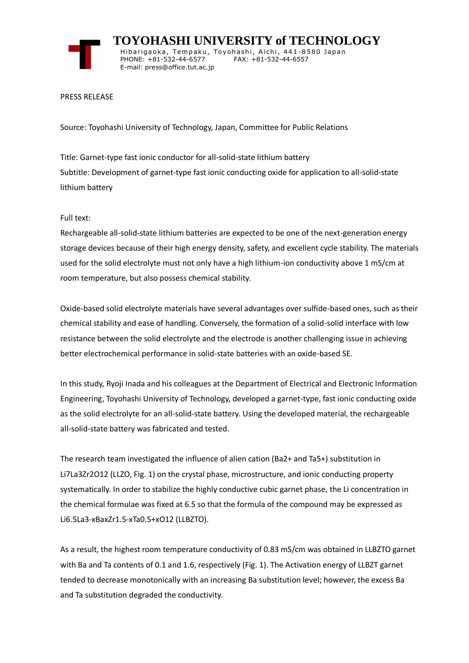

 **TOYOHASHI UNIVERSITY of TECHNOLOGY** Hibarigaoka, Tempaku, Toyohashi, Aichi, 441-8580 Japan PHONE: +81-532-44-6577 FAX: +81-532-44-6557 E-mail: press@office.tut.ac.jp

## PRESS RELEASE

Source: Toyohashi University of Technology, Japan, Committee for Public Relations

Title: Garnet-type fast ionic conductor for all-solid-state lithium battery Subtitle: Development of garnet-type fast ionic conducting oxide for application to all-solid-state lithium battery

## Full text:

Rechargeable all-solid-state lithium batteries are expected to be one of the next-generation energy storage devices because of their high energy density, safety, and excellent cycle stability. The materials used for the solid electrolyte must not only have a high lithium-ion conductivity above 1 mS/cm at room temperature, but also possess chemical stability.

Oxide-based solid electrolyte materials have several advantages over sulfide-based ones, such as their chemical stability and ease of handling. Conversely, the formation of a solid-solid interface with low resistance between the solid electrolyte and the electrode is another challenging issue in achieving better electrochemical performance in solid-state batteries with an oxide-based SE.

In this study, Ryoji Inada and his colleagues at the Department of Electrical and Electronic Information Engineering, Toyohashi University of Technology, developed a garnet-type, fast ionic conducting oxide as the solid electrolyte for an all-solid-state battery. Using the developed material, the rechargeable all-solid-state battery was fabricated and tested.

The research team investigated the influence of alien cation (Ba2+ and Ta5+) substitution in Li7La3Zr2O12 (LLZO, Fig. 1) on the crystal phase, microstructure, and ionic conducting property systematically. In order to stabilize the highly conductive cubic garnet phase, the Li concentration in the chemical formulae was fixed at 6.5 so that the formula of the compound may be expressed as Li6.5La3-xBaxZr1.5-xTa0.5+xO12 (LLBZTO).

As a result, the highest room temperature conductivity of 0.83 mS/cm was obtained in LLBZTO garnet with Ba and Ta contents of 0.1 and 1.6, respectively (Fig. 1). The Activation energy of LLBZT garnet tended to decrease monotonically with an increasing Ba substitution level; however, the excess Ba and Ta substitution degraded the conductivity.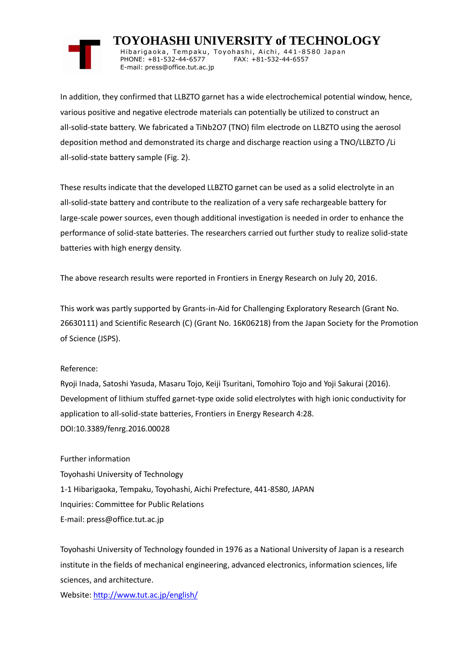## **TOYOHASHI UNIVERSITY of TECHNOLOGY**

Hibarigaoka, Tempaku, Toyohashi, Aichi, 441-8580 Japan PHONE: +81-532-44-6577 FAX: +81-532-44-6557 E-mail: press@office.tut.ac.jp

In addition, they confirmed that LLBZTO garnet has a wide electrochemical potential window, hence, various positive and negative electrode materials can potentially be utilized to construct an all-solid-state battery. We fabricated a TiNb2O7 (TNO) film electrode on LLBZTO using the aerosol deposition method and demonstrated its charge and discharge reaction using a TNO/LLBZTO /Li all-solid-state battery sample (Fig. 2).

These results indicate that the developed LLBZTO garnet can be used as a solid electrolyte in an all-solid-state battery and contribute to the realization of a very safe rechargeable battery for large-scale power sources, even though additional investigation is needed in order to enhance the performance of solid-state batteries. The researchers carried out further study to realize solid-state batteries with high energy density.

The above research results were reported in Frontiers in Energy Research on July 20, 2016.

This work was partly supported by Grants-in-Aid for Challenging Exploratory Research (Grant No. 26630111) and Scientific Research (C) (Grant No. 16K06218) from the Japan Society for the Promotion of Science (JSPS).

## Reference:

Ryoji Inada, Satoshi Yasuda, Masaru Tojo, Keiji Tsuritani, Tomohiro Tojo and Yoji Sakurai (2016). Development of lithium stuffed garnet-type oxide solid electrolytes with high ionic conductivity for application to all-solid-state batteries, Frontiers in Energy Research 4:28. DOI:10.3389/fenrg.2016.00028

Further information Toyohashi University of Technology 1-1 Hibarigaoka, Tempaku, Toyohashi, Aichi Prefecture, 441-8580, JAPAN Inquiries: Committee for Public Relations E-mail: press@office.tut.ac.jp

Toyohashi University of Technology founded in 1976 as a National University of Japan is a research institute in the fields of mechanical engineering, advanced electronics, information sciences, life sciences, and architecture.

Website[: http://www.tut.ac.jp/english/](https://www.tut.ac.jp/english/)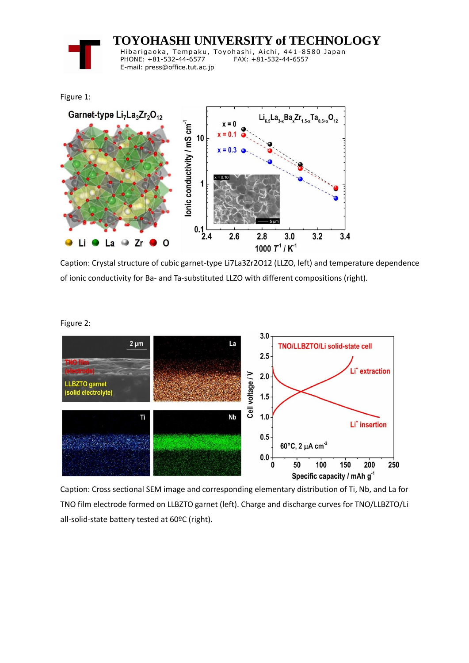

 **TOYOHASHI UNIVERSITY of TECHNOLOGY** Hibarigaoka, Tempaku, Toyohashi, Aichi, 441-8580 Japan PHONE: +81-532-44-6577 FAX: +81-532-44-6557 E-mail: press@office.tut.ac.jp

Figure 1:



Caption: Crystal structure of cubic garnet-type Li7La3Zr2O12 (LLZO, left) and temperature dependence of ionic conductivity for Ba- and Ta-substituted LLZO with different compositions (right).

Figure 2:



Caption: Cross sectional SEM image and corresponding elementary distribution of Ti, Nb, and La for TNO film electrode formed on LLBZTO garnet (left). Charge and discharge curves for TNO/LLBZTO/Li all-solid-state battery tested at 60ºC (right).